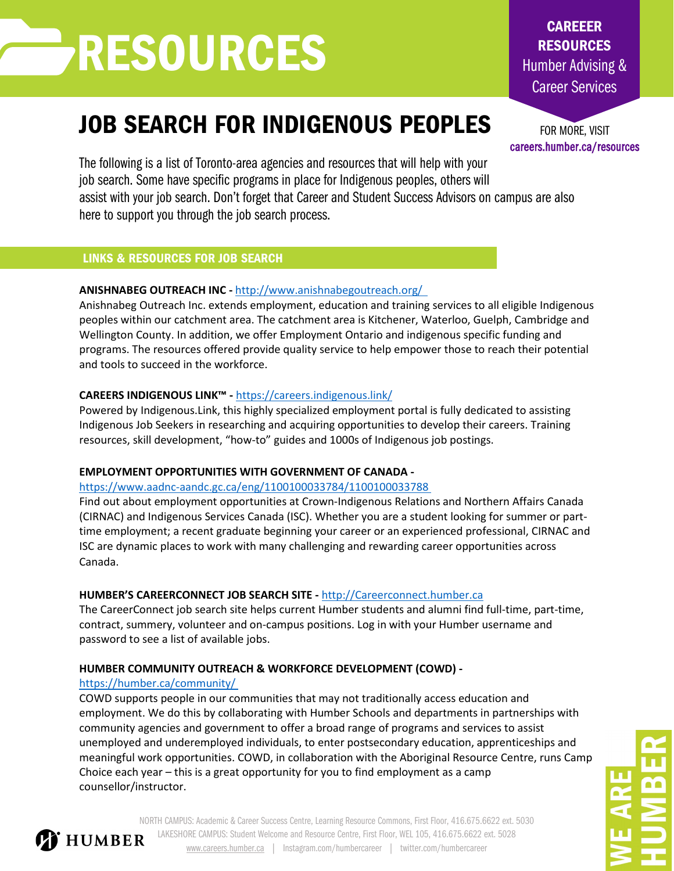# RESOURCES

# JOB SEARCH FOR INDIGENOUS PEOPLES

The following is a list of Toronto-area agencies and resources that will help with your job search. Some have specific programs in place for Indigenous peoples, others will assist with your job search. Don't forget that Career and Student Success Advisors on campus are also here to support you through the job search process.

# LINKS & RESOURCES FOR JOB SEARCH

# **ANISHNABEG OUTREACH INC -** <http://www.anishnabegoutreach.org/>

Anishnabeg Outreach Inc. extends employment, education and training services to all eligible Indigenous peoples within our catchment area. The catchment area is Kitchener, Waterloo, Guelph, Cambridge and Wellington County. In addition, we offer Employment Ontario and indigenous specific funding and programs. The resources offered provide quality service to help empower those to reach their potential and tools to succeed in the workforce.

### **CAREERS INDIGENOUS LINK™ -** <https://careers.indigenous.link/>

Powered by Indigenous.Link, this highly specialized employment portal is fully dedicated to assisting Indigenous Job Seekers in researching and acquiring opportunities to develop their careers. Training resources, skill development, "how-to" guides and 1000s of Indigenous job postings.

### **EMPLOYMENT OPPORTUNITIES WITH GOVERNMENT OF CANADA -**

<https://www.aadnc-aandc.gc.ca/eng/1100100033784/1100100033788>

Find out about employment opportunities at Crown-Indigenous Relations and Northern Affairs Canada (CIRNAC) and Indigenous Services Canada (ISC). Whether you are a student looking for summer or parttime employment; a recent graduate beginning your career or an experienced professional, CIRNAC and ISC are dynamic places to work with many challenging and rewarding career opportunities across Canada.

### **HUMBER'S CAREERCONNECT JOB SEARCH SITE -** [http://Careerconnect.humber.ca](http://careerconnect.humber.ca/)

The CareerConnect job search site helps current Humber students and alumni find full-time, part-time, contract, summery, volunteer and on-campus positions. Log in with your Humber username and password to see a list of available jobs.

# **HUMBER COMMUNITY OUTREACH & WORKFORCE DEVELOPMENT (COWD) -**

### <https://humber.ca/community/>

COWD supports people in our communities that may not traditionally access education and employment. We do this by collaborating with Humber Schools and departments in partnerships with community agencies and government to offer a broad range of programs and services to assist unemployed and underemployed individuals, to enter postsecondary education, apprenticeships and meaningful work opportunities. COWD, in collaboration with the Aboriginal Resource Centre, runs Camp Choice each year – this is a great opportunity for you to find employment as a camp counsellor/instructor.

NORTH CAMPUS: Academic & Career Success Centre, Learning Resource Commons, First Floor, 416.675.6622 ext. 5030 LAKESHORE CAMPUS: Student Welcome and Resource Centre, First Floor, WEL 105, 416.675.6622 ext. 5028 **T** HUMBER [www.careers.humber.ca](http://www.careers.humber.ca/) | Instagram.com/humbercareer | twitter.com/humbercareer

FOR MORE, VISIT careers.humber.ca/resources